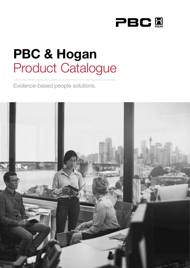

# **PBC & Hogan** Product Catalogue

Evidence-based people solutions.

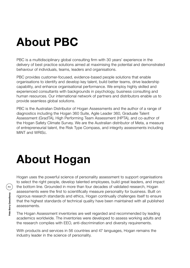# **About PBC**

PBC is a multidisciplinary global consulting firm with 30 years' experience in the delivery of best practice solutions aimed at maximising the potential and demonstrated behaviour of individuals, teams, leaders and organisations.

PBC provides customer-focused, evidence-based people solutions that enable organisations to identify and develop key talent, build better teams, drive leadership capability, and enhance organisational performance. We employ highly skilled and experienced consultants with backgrounds in psychology, business consulting and human resources. Our international network of partners and distributors enable us to provide seamless global solutions.

PBC is the Australian Distributor of Hogan Assessments and the author of a range of diagnostics including the Hogan 360 Suite, Agile Leader 360, Graduate Talent Assessment (GradTA), High Performing Team Assessment (HPTA), and co-author of the Hogan Safety Climate Survey. We are the Australian distributor of Meta, a measure of entrepreneurial talent, the Risk Type Compass, and integrity assessments including MiNT and WRISc.

# **About Hogan**

Hogan uses the powerful science of personality assessment to support organisations to select the right people, develop talented employees, build great leaders, and impact the bottom line. Grounded in more than four decades of validated research, Hogan assessments were the first to scientifically measure personality for business. Built on rigorous research standards and ethics, Hogan continually challenges itself to ensure that the highest standards of technical quality have been maintained with all published assessments.

The Hogan Assessment inventories are well regarded and recommended by leading academics worldwide. The inventories were developed to assess working adults and the research complies with EEO, anti-discrimination and diversity requirements.

With products and services in 56 countries and 47 languages, Hogan remains the industry leader in the science of personality.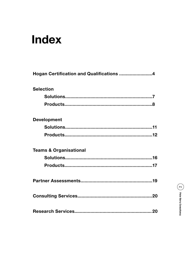## **Index**

| Hogan Certification and Qualifications 4 |  |
|------------------------------------------|--|
| <b>Selection</b>                         |  |
|                                          |  |
|                                          |  |
| <b>Development</b>                       |  |
|                                          |  |
|                                          |  |
| <b>Teams &amp; Organisational</b>        |  |
|                                          |  |
|                                          |  |
|                                          |  |
|                                          |  |
|                                          |  |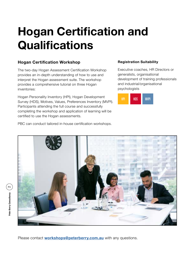# **Hogan Certification and Qualifications**

### **Hogan Certification Workshop**

The two-day Hogan Assessment Certification Workshop provides an in-depth understanding of how to use and interpret the Hogan assessment suite. The workshop provides a comprehensive tutorial on three Hogan inventories:

Hogan Personality Inventory (HPI), Hogan Development Survey (HDS), Motives, Values, Preferences Inventory (MVPI). Participants attending the full course and successfully completing the workshop and application of learning will be certified to use the Hogan assessments.

#### **Registration Suitability**

Executive coaches, HR Directors or generalists, organisational development of training professionals and industrial/organisational psychologists



PBC can conduct tailored in-house certification workshops.



Please contact **workshops@peterberry[.com.](http://training@hoganassessments.com)au** with any questions.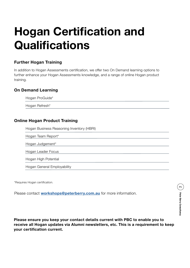# **Hogan Certification and Qualifications**

### **Further Hogan Training**

In addition to Hogan Assessments certification, we offer two On Demand learning options to further enhance your Hogan Assessments knowledge, and a range of online Hogan product training.

#### **On Demand Learning**

Hogan ProGuide\*

Hogan Refresh\*

### **Online Hogan Product Training**

Hogan Business Reasoning Inventory (HBRI)

Hogan Team Report\*

Hogan Judgement\*

Hogan Leader Focus

Hogan High Potential

Hogan General Employability

\*Requires Hogan certification.

Please contact **workshops@peterberr[y.com.](http://training@hoganassessments.com)au** for more information.

**Please ensure you keep your contact details current with PBC to enable you to receive all Hogan updates via Alumni newsletters, etc. This is a requirement to keep your certification current.**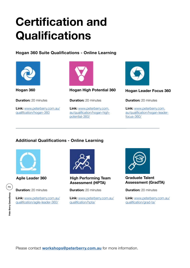# **Certification and Qualifications**

**Hogan 360 Suite Qualifications - Online Learning**



**Hogan 360**

**Duration:** 20 minutes

**Link:** www.peterberry.com.au/ qualification/hogan-360



**Hogan High Potential 360**

**Duration:** 20 minutes

Link: www.peterberry.com. au/qualification/hogan-highpotential-360/



**Hogan Leader Focus 360**

**Duration:** 20 minutes

Link: www.peterberry.com. au/qualification/hogan-leaderfocus-360/

### **Additional Qualifications - Online Learning**



**Duration:** 20 minutes

**Link:** www.peterberry.com.au/ qualification/agile-leader-360/



**Agile Leader 360 High Performing Team Assessment (HPTA)**

**Duration:** 20 minutes

**Link:** www.peterberry.com.au/ qualification/hpta/



**Graduate Talent Assessment (GradTA)**

**Duration:** 20 minutes

**Link:** www.peterberry.com.au/ qualification/grad-ta/

Please contact **workshops@peterberry[.com.](http://training@hoganassessments.com)au** for more information.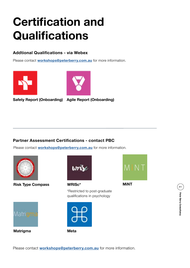# **Certification and Qualifications**

### **Addtional Qualifications - via Webex**

Please contact **workshops@peterberr[y.com.](http://training@hoganassessments.com)au** for more information.





**Safety Report (Onboarding) Agile Report (Onboarding)**



#### **Partner Assessment Certifications - contact PBC**

Please contact **workshops@peterberr[y.com](http://training@hoganassessments.com).au** for more information.



**Matrigma**

Matrin mi

**Risk Type Compass**



**WRISc\***

\*Restricted to post-graduate qualifications in psychology







**MiNT**

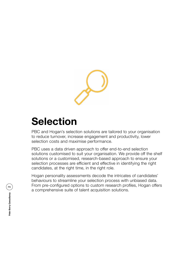

### **Selection**

PBC and Hogan's selection solutions are tailored to your organisation to reduce turnover, increase engagement and productivity, lower selection costs and maximise performance.

PBC uses a data driven approach to offer end-to-end selection solutions customised to suit your organisation. We provide off the shelf solutions or a customised, research-based approach to ensure your selection processes are efficient and effective in identifying the right candidates, at the right time, in the right role.

Hogan personality assessments decode the intricates of candidates' behaviours to streamline your selection process with unbiased data. From pre-configured options to custom research profiles, Hogan offers a comprehensive suite of talent acquisition solutions.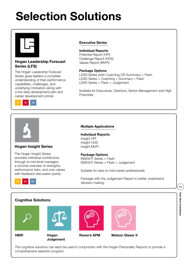# **Selection Solutions**



#### **Hogan Leadership Forecast Series (LFS)**

The Hogan Leadership Forecast Series gives leaders a complete understanding of their performance capabilities, challenges, and underlying motivators along with a five-step development plan and career development primer.



#### **Executive Series**

#### **Individual Reports**

Potential Report (HPI) Challenge Report (HDS) Values Report (MVPI)

#### **Package Options**

LEAD Series (with Coaching OR Summary) + Flash LEAD Series + Coaching + Summary + Flash LEAD Series + Flash + Judgement

Suitable for Executives, Directors, Senior Management and High **Potentials** 



#### **Hogan Insight Series**

The Hogan Insight Series provides individual contributors through to mid-level managers a concise overview of strengths, performance risks, and core values with feedback discussion points.

#### **Multiple Applications**

**Individual Reports** Insight HPI Insight HDS

#### **Package Options**

Insight MVPI

INSIGHT Series + Flash INSIGHT Series + Flash + Judgement

Suitable for early to mid-career professionals

Package with the Judgement Report to better understand decision making.

#### **Cognitive Solutions**

**HBRI Hogan** 





**Judgement**





**Raven's APM Watson Glaser II**

The cognitive solutions can each be used in conjunction with the Hogan Personality Reports to provide a comprehensive selection program.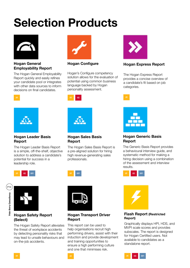# **Selection Products**



#### **Hogan General Employability Report**

The Hogan General Employability Report quickly and easily refines your candidate pool or integrates with other data sources to inform decisions on final candidates.



#### **Hogan Configure**

Hogan's Configure competency solution allows for the evaluation of potential using common business language backed by Hogan personality assessment.





#### **Hogan Leader Basis Report**

The Hogan Leader Basis Report is a simple, off-the-shelf, objective solution to address a candidate's potential for success in a leadership role.



#### **Hogan Sales Basis Report**

The Hogan Sales Basis Report is a pre-aligned solution for hiring high revenue-generating sales professionals.





#### **Hogan Safety Report (Select)**

The Hogan Safety Report alleviates the threat of workplace accidents by detecting personality risks that may lead to unsafe behaviours and on-the-job accidents.



#### **Hogan Transport Driver Report**

This report can be used to help organisations recruit high performing drivers, assist with their induction and provide development and training opportunities to ensure a high performing culture and one that minimises risk.



#### **Hogan Express Report**

The Hogan Express Report provides a concise overview of a candidate's fit based on job categories.



#### **Hogan Generic Basis Report**

The Generic Basis Report provides a behavioural interview guide, and systematic method for making a hiring decision using a combination of the assessment and interview results.





#### **Flash Report (Restricted Report)**

Graphically displays HPI, HDS, and MVPI scale scores and provides subscales. The report is designed for Hogan Certified users. Not available to candidates as a standalone report.

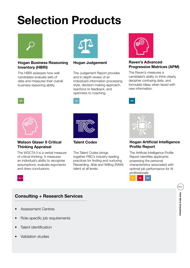# **Selection Products**



#### **Hogan Business Reasoning Inventory (HBRI)**

The HBRI assesses how well candidates evaluate sets of data and measures their overall business reasoning ability.



#### **Hogan Judgement**

The Judgement Report provides and in-depth review of an individual's information processing style, decision-making approach, reactions to feedback, and openness to coaching.



#### **Raven's Advanced Progressive Matrices (APM)**

The Raven's measures a candidate's ability to think clearly, decipher confusing data, and formulate ideas when faced with new information.

**Watson Glaser II Critical Thinking Appraisal**

The WGCTA II is a verbal measure of critical thinking. It measures an individual's ability to recognise assumptions, evaluate arguments and draw conclusions.



**Talent Codex**

The Talent Codex brings together PBC's industry-leading practices for finding and nurturing Rewarding, Able and Willing (RAW) talent at all levels.



**BW** 

#### **Hogan Artificial Intelligence Profile Report**

The Artificial Intelligence Profile Report identifies applicants posessing the personal characteristics associated with optimal job performance for AI professionals.



### **Consulting + Research Services**

- Assessment Centres
- Role-specific job requirements
- Talent identification
- Validation studies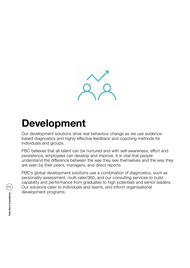

### **Development**

Our development solutions drive real behaviour change as we use evidencebased diagnostics and highly effective feedback and coaching methods for individuals and groups.

PBC believes that all talent can be nurtured and with self-awareness, effort and persistence, employees can develop and improve. It is vital that people understand the difference between the way they see themselves and the way they are seen by their peers, managers, and direct reports.

PBC's global development solutions use a combination of diagnostics, such as personality assessment, multi-rater/360, and our consulting services to build capability and performance from graduates to high potentials and senior leaders. Our solutions cater to individuals and teams, and inform organisational development programs.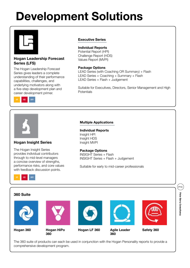# **Development Solutions**

#### **Hogan Leadership Forecast Series (LFS)**

The Hogan Leadership Forecast Series gives leaders a complete understanding of their performance capabilities, challenges, and underlying motivators along with a five-step development plan and career development primer.



#### **Executive Series**

#### **Individual Reports**

Potential Report (HPI) Challenge Report (HDS) Values Report (MVPI)

#### **Package Options**

LEAD Series (with Coaching OR Summary) + Flash LEAD Series + Coaching + Summary + Flash LEAD Series + Flash + Judgement

Suitable for Executives, Directors, Senior Management and High **Potentials** 

#### **Hogan Insight Series**

The Hogan Insight Series provides individual contributors through to mid-level managers a concise overview of strengths, performance risks, and core values with feedback discussion points.

#### **Multiple Applications**

**Individual Reports** Insight HPI Insight HDS Insight MVPI

#### **Package Options**

INSIGHT Series + Flash INSIGHT Series + Flash + Judgement

Suitable for early to mid-career professionals



The 360 suite of products can each be used in conjunction with the Hogan Personality reports to provide a comprehensive development program.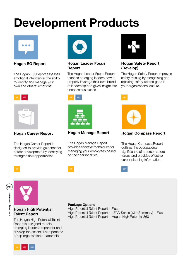# **Development Products**



**Hogan EQ Report**

The Hogan EQ Report assesses emotional intelligence, the ability to identify and manage your own and others' emotions.



The Hogan Career Report is designed to provide guidance for career development by identifying strengths and opportunities.



#### **Hogan Leader Focus Report**

The Hogan Leader Focus Report teaches emerging leaders how to properly leverage their own brand of leadership and gives insight into unconscious biases.



#### **Hogan Safety Report (Develop)**

The Hogan Safety Report improves safety training by recognising and repairing safety-related gaps in your organisational culture.



#### **Hogan Career Report Hogan Manage Report**

The Hogan Manage Report provides effective techniques for managing your employees based on their personalities.



#### **Hogan Compass Report**

The Hogan Compass Report outlines the occupational significance of a person's core values and provides effective career planning information.



P14Peter Berry Consultancy **Peter Berry Consultancy**



#### **Hogan High Potential Talent Report**

The Hogan High Potential Talent Report is designed to help emerging leaders prepare for and develop the essential components of top organisational leadership.



#### **Package Options**

High Potential Talent Report + Flash High Potential Talent Report + LEAD Series (with Summary) + Flash High Potential Talent Report + Hogan High Potential 360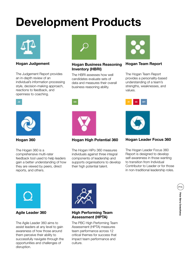# **Development Products**



The Judgement Report provides an in-depth review of an individual's information processing style, decision-making approach, reactions to feedback, and openness to coaching.



#### **Hogan Judgement Hogan Business Reasoning Hogan Team Report Inventory (HBRI)**

The HBRI assesses how well candidates evaluate sets of data and measures their overall business reasoning ability.



The Hogan Team Report provides a personality-based understanding of a team's strengths, weaknesses, and values.





#### **Hogan Leader Focus 360**

The Hogan Leader Focus 360 Report is designed to develop self-awareness in those wanting to transition from Individual Contributor to Leader or for those in non-traditional leadership roles.



The Hogan 360 is a comprehensive multi-rater feedback tool used to help leaders gain a better understanding of how they are viewed by peers, direct reports, and others.



**Hogan 360 Hogan High Potential 360**

The Hogan HiPo 360 measures individuals against three integral components of leadership and supports organisations to develop their high potential talent.



The Agile Leader 360 aims to assist leaders at any level to gain awareness of how those around them perceive their ability to successfully navigate through the opportunities and challenges of disruption.



#### **Agile Leader 360 High Performing Team Assessment (HPTA)**

The PBC High Performing Team Assessment (HPTA) measures team performance across 12 critical themes for success that impact team performance and culture.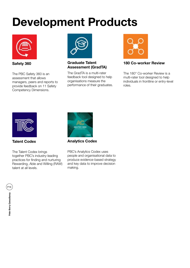## **Development Products**



**Safety 360**

The PBC Safety 360 is an assessment that allows managers, peers and reports to provide feedback on 11 Safety Competency Dimensions.



### **Assessment (GradTA)**

The GradTA is a multi-rater feedback tool designed to help organisations measure the performance of their graduates.



#### **Graduate Talent 180 Co-worker Review**

The 180° Co-worker Review is a multi-rater tool designed to help individuals in frontline or entry-level roles.



**Talent Codex**

The Talent Codex brings together PBC's industry-leading practices for finding and nurturing Rewarding, Able and Willing (RAW) talent at all levels.



**Analytics Codex**

PBC's Analytics Codex uses people and organisational data to produce evidence-based strategy and key data to improve decision making.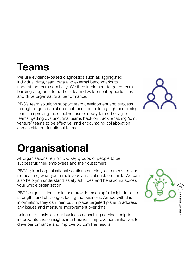### **Teams**

We use evidence-based diagnostics such as aggregated individual data, team data and external benchmarks to understand team capability. We then implement targeted team building programs to address team development opportunities and drive organisational performance.

PBC's team solutions support team development and success through targeted solutions that focus on building high performing teams, improving the effectiveness of newly formed or agile teams, getting dysfunctional teams back on track, enabling 'joint venture' teams to be effective, and encouraging collaboration across different functional teams.



### **Organisational**

All organisations rely on two key groups of people to be successful: their employees and their customers.

PBC's global organisational solutions enable you to measure (and re-measure) what your employees and stakeholders think. We can also help you understand safety attitudes and behaviours across your whole organisation.

PBC's organisational solutions provide meaningful insight into the strengths and challenges facing the business. Armed with this information, they can then put in place targeted plans to address any issues and measure improvement over time.

Using data analytics, our business consulting services help to incorporate these insights into business improvement initiatives to drive performance and improve bottom line results.

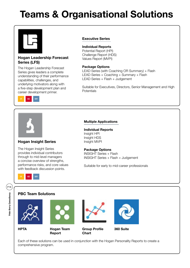### **Teams & Organisational Solutions**



#### **Hogan Leadership Forecast Series (LFS)**

The Hogan Leadership Forecast Series gives leaders a complete understanding of their performance capabilities, challenges, and underlying motivators along with a five-step development plan and career development primer.



#### **Executive Series**

#### **Individual Reports**

Potential Report (HPI) Challenge Report (HDS) Values Report (MVPI)

#### **Package Options**

LEAD Series (with Coaching OR Summary) + Flash LEAD Series + Coaching + Summary + Flash LEAD Series + Flash + Judgement

Suitable for Executives, Directors, Senior Management and High **Potentials** 

#### **Multiple Applications**

**Individual Reports** Insight HPI Insight HDS Insight MVPI

#### **Package Options**

INSIGHT Series + Flash INSIGHT Series + Flash + Judgement

Suitable for early to mid-career professionals



#### **PBC Team Solutions**

**Hogan Insight Series**

The Hogan Insight Series provides individual contributors through to mid-level managers a concise overview of strengths, performance risks, and core values with feedback discussion points.







**HPTA Hogan Team Report**



**Group Profile Chart**



**360 Suite**

Each of these solutions can be used in conjunction with the Hogan Personality Reports to create a comprehensive program.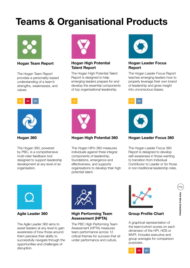### **Teams & Organisational Products**



**Hogan Team Report**

The Hogan Team Report provides a personality-based understanding of a team's strengths, weaknesses, and values.





The Hogan 360, powered by PBC, is a comprehensive multi-rater feedback tool designed to support leadership development at any level of an organisation.



#### **Hogan High Potential Talent Report**

The Hogan High Potential Talent Report is designed to help emerging leaders prepare for and develop the essential components of top organisational leadership.



#### **Hogan 360 Hogan High Potential 360**

The Hogan HiPo 360 measures individuals against three integral components of leadership, foundations, emergence and effectiveness, and supports organisations to develop their high potential talent.



#### **Hogan Leader Focus Report**

The Hogan Leader Focus Report teaches emerging leaders how to properly leverage their own brand of leadership and gives insight into unconscious biases.



#### **Hogan Leader Focus 360**

The Hogan Leader Focus 360 Report is designed to develop self-awareness in those wanting to transition from Individual Contributor to Leader or for those in non-traditional leadership roles.



The Agile Leader 360 aims to assist leaders at any level to gain awareness of how those around them perceive their ability to successfully navigate through the opportunities and challenges of disruption.



#### **Agile Leader 360 High Performing Team Assessment (HPTA)**

The PBC High Performing Team Assessment (HPTA) measures team performance across 12 critical themes for success that sit under performance and culture.



#### **Group Profile Chart**

A graphical representation of the team/cohort scores on each dimension of the HPI, HDS or MVPI. Includes executive and group averages for comparison purposes.

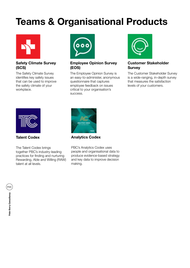### **Teams & Organisational Products**



#### **Safety Climate Survey (SCS)**

The Safety Climate Survey identifies key safety issues that can be used to improve the safety climate of your workplace.



#### **Employee Opinion Survey (EOS)**

The Employee Opinion Survey is an easy-to-administer, anonymous questionnaire that captures employee feedback on issues critical to your organisation's success.



#### **Customer Stakeholder Survey**

The Customer Stakeholder Survey is a wide-ranging, in-depth survey that measures the satisfaction levels of your customers.



**Talent Codex**

The Talent Codex brings together PBC's industry-leading practices for finding and nurturing Rewarding, Able and Willing (RAW) talent at all levels.



**Analytics Codex**

PBC's Analytics Codex uses people and organisational data to produce evidence-based strategy and key data to improve decision making.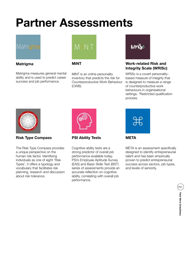# **Partner Assessments**



#### **Matrigma MiNT**

Matrigma measures general mental ability and is used to predict career success and job performance.



MiNT is an online personality inventory that predicts the risk for Counterproductive Work Behaviour (CWB).



#### **Work-related Risk and Integrity Scale (WRISc)**

WRISc is a covert personalitybased measure of integrity that is designed to measure a range of counterproductive work behaviours in organisational settings. \*Restricted qualification process.



#### **Risk Type Compass**

The Risk-Type Compass provides a unique perspective on the human risk factor. Identifying individuals as one of eight 'Risk Types', it offers a typology and vocabulary that facilitates risk planning, research and discussion about risk tolerance.



**PSI Ability Tests**

Cognitive ability tests are a strong predictor of overall job performance available today. PSI's Employee Aptitude Survey (EAS) and Basic Skills Test (BST) series of assessments provide an accurate reflection on cognitive ability, correlating with overall job performance.



META is an assessment specifically designed to identify entrepreneurial talent and has been empirically proven to predict entrepreneurial

success across sectors, job types,

and levels of seniority.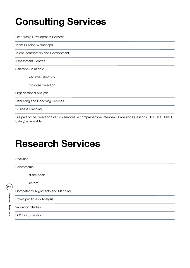### **Consulting Services**

Leadership Development Services Team Building Workshops Talent Identification and Development Assessment Centres Selection Solutions\* Executive Selection Employee Selection Organisational Analysis Debriefing and Coaching Services Business Planning

\*As part of the Selection Solution services, a comprehensive Interview Guide and Questions (HPI, HDS, MVPI, Safety) is available.

### **Research Services**

Peter Berry Consultancy (2) **Peter Berry Consultancy**

| Analytics                         |  |  |
|-----------------------------------|--|--|
| <b>Benchmarks</b>                 |  |  |
| Off-the-shelf                     |  |  |
| Custom                            |  |  |
| Competency Alignments and Mapping |  |  |
| Role-Specific Job Analysis        |  |  |
| <b>Validation Studies</b>         |  |  |
| 360 Customisation                 |  |  |
|                                   |  |  |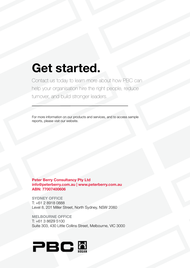## **Get started.**

Contact us today to learn more about how PBC can help your organisation hire the right people, reduce turnover, and build stronger leaders.

For more information on our products and services, and to access sample reports, please visit our website.

**Peter Berry Consultancy Pty Ltd info@peterberry.com.au | www.peterberry.com.au ABN: 77007400606**

**SYDNEY OFFICE** T: +61 2 8918 0888 Level 8, 201 Miller Street, North Sydney, NSW 2060

**MELBOURNE OFFICE** T: +61 3 8629 5100 Suite 303, 430 Little Collins Street, Melbourne, VIC 3000